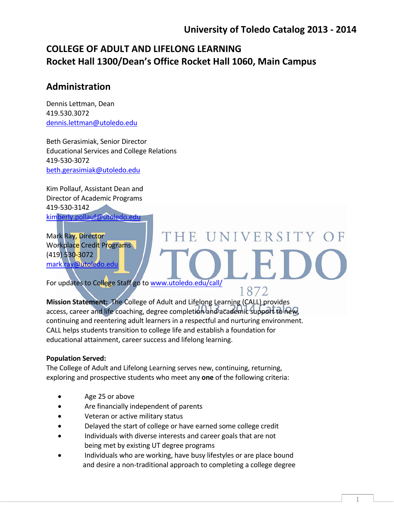## **COLLEGE OF ADULT AND LIFELONG LEARNING Rocket Hall 1300/Dean's Office Rocket Hall 1060, Main Campus**

### **Administration**

Dennis Lettman, Dean 419.530.3072 dennis.lettman@utoledo.edu

Beth Gerasimiak, Senior Director Educational Services and College Relations 419‐530‐3072 beth.gerasimiak@utoledo.edu

Kim Pollauf, Assistant Dean and Director of Academic Programs 419‐530‐3142 kimberly.pollauf@utoledo.edu

Mark Ray, Director Workplace Credit Programs (419) 530‐3072 mark.ray@utoledo.edu

# THE UNIVERSITY OF

1872

1

For updates to College Staff go to www.utoledo.edu/call/

**Mission Statement: The College of Adult and Lifelong Learning (CALL) provides** access, career and life coaching, degree completion and academic support to new, continuing and reentering adult learners in a respectful and nurturing environment. CALL helps students transition to college life and establish a foundation for educational attainment, career success and lifelong learning.

#### **Population Served:**

The College of Adult and Lifelong Learning serves new, continuing, returning, exploring and prospective students who meet any **one** of the following criteria:

- Age 25 or above
- Are financially independent of parents
- Veteran or active military status
- Delayed the start of college or have earned some college credit
- Individuals with diverse interests and career goals that are not being met by existing UT degree programs
- Individuals who are working, have busy lifestyles or are place bound and desire a non-traditional approach to completing a college degree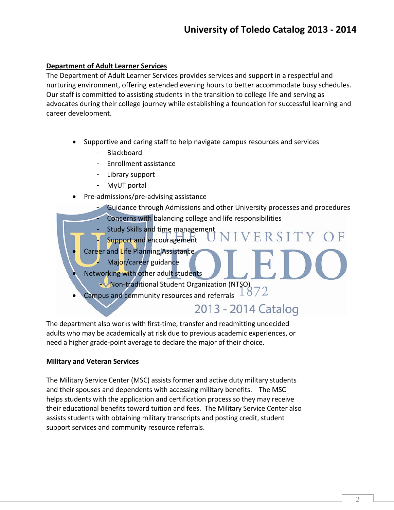#### **Department of Adult Learner Services**

The Department of Adult Learner Services provides services and support in a respectful and nurturing environment, offering extended evening hours to better accommodate busy schedules. Our staff is committed to assisting students in the transition to college life and serving as advocates during their college journey while establishing a foundation for successful learning and career development.

- Supportive and caring staff to help navigate campus resources and services
	- **Blackboard**
	- Enrollment assistance
	- Library support
	- MyUT portal
- Pre‐admissions/pre‐advising assistance
	- Guidance through Admissions and other University processes and procedures Concerns with balancing college and life responsibilities
		- Study Skills and time management
	- Support and encouragement
	- Career and Life Planning Assistance
		- Major/career guidance
- Networking with other adult students
	- Non‐traditional Student Organization (NTSO)
- **Campus and community resources and referrals**

## 2013 - 2014 Catalog

ERSITY

The department also works with first-time, transfer and readmitting undecided adults who may be academically at risk due to previous academic experiences, or need a higher grade‐point average to declare the major of their choice.

#### **Military and Veteran Services**

The Military Service Center (MSC) assists former and active duty military students and their spouses and dependents with accessing military benefits. The MSC helps students with the application and certification process so they may receive their educational benefits toward tuition and fees. The Military Service Center also assists students with obtaining military transcripts and posting credit, student support services and community resource referrals.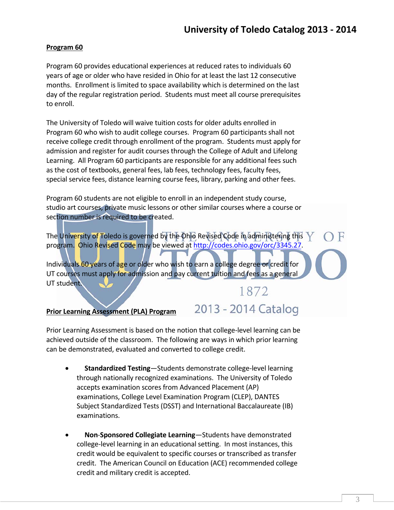#### **Program 60**

Program 60 provides educational experiences at reduced rates to individuals 60 years of age or older who have resided in Ohio for at least the last 12 consecutive months. Enrollment is limited to space availability which is determined on the last day of the regular registration period. Students must meet all course prerequisites to enroll.

The University of Toledo will waive tuition costs for older adults enrolled in Program 60 who wish to audit college courses. Program 60 participants shall not receive college credit through enrollment of the program. Students must apply for admission and register for audit courses through the College of Adult and Lifelong Learning. All Program 60 participants are responsible for any additional fees such as the cost of textbooks, general fees, lab fees, technology fees, faculty fees, special service fees, distance learning course fees, library, parking and other fees.

Program 60 students are not eligible to enroll in an independent study course, studio art courses, private music lessons or other similar courses where a course or section number is required to be created.

The University of Toledo is governed by the Ohio Revised Code in administering this  $\sqrt{}$ Ħ program. Ohio Revised Code may be viewed at http://codes.ohio.gov/orc/3345.27.

Individuals 60 years of age or older who wish to earn a college degree or credit for UT courses must apply for admission and pay current tuition and fees as a general UT student.

# 1872

2013 - 2014 Catalog

#### **Prior Learning Assessment (PLA) Program**

Prior Learning Assessment is based on the notion that college‐level learning can be achieved outside of the classroom. The following are ways in which prior learning can be demonstrated, evaluated and converted to college credit.

- **Standardized Testing**—Students demonstrate college-level learning through nationally recognized examinations. The University of Toledo accepts examination scores from Advanced Placement (AP) examinations, College Level Examination Program (CLEP), DANTES Subject Standardized Tests (DSST) and International Baccalaureate (IB) examinations.
- **Non**‐**Sponsored Collegiate Learning**—Students have demonstrated college‐level learning in an educational setting. In most instances, this credit would be equivalent to specific courses or transcribed as transfer credit. The American Council on Education (ACE) recommended college credit and military credit is accepted.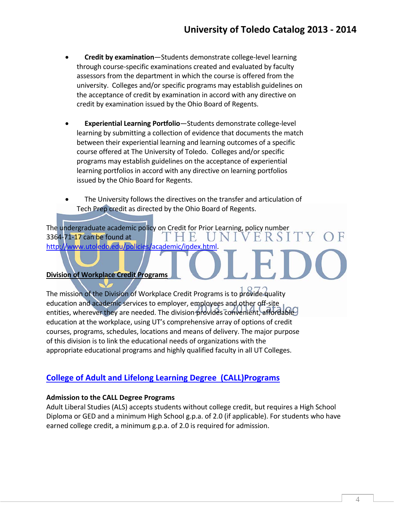- **Credit by examination**—Students demonstrate college‐level learning through course‐specific examinations created and evaluated by faculty assessors from the department in which the course is offered from the university. Colleges and/or specific programs may establish guidelines on the acceptance of credit by examination in accord with any directive on credit by examination issued by the Ohio Board of Regents.
- **Experiential Learning Portfolio**—Students demonstrate college‐level learning by submitting a collection of evidence that documents the match between their experiential learning and learning outcomes of a specific course offered at The University of Toledo. Colleges and/or specific programs may establish guidelines on the acceptance of experiential learning portfolios in accord with any directive on learning portfolios issued by the Ohio Board for Regents.
- The University follows the directives on the transfer and articulation of Tech Prep credit as directed by the Ohio Board of Regents.

The undergraduate academic policy on Credit for Prior Learning, policy number VERSI 3364‐71‐17 can be found at IHE http://www.utoledo.edu/policies/academic/index.html.

#### **Division of Workplace Credit Programs**

The mission of the Division of Workplace Credit Programs is to provide quality education and academic services to employer, employees and other off‐site entities, wherever they are needed. The division provides convenient, affordable education at the workplace, using UT's comprehensive array of options of credit courses, programs, schedules, locations and means of delivery. The major purpose of this division is to link the educational needs of organizations with the appropriate educational programs and highly qualified faculty in all UT Colleges.

#### **College of Adult and Lifelong Learning Degree (CALL)Programs**

#### **Admission to the CALL Degree Programs**

Adult Liberal Studies (ALS) accepts students without college credit, but requires a High School Diploma or GED and a minimum High School g.p.a. of 2.0 (if applicable). For students who have earned college credit, a minimum g.p.a. of 2.0 is required for admission.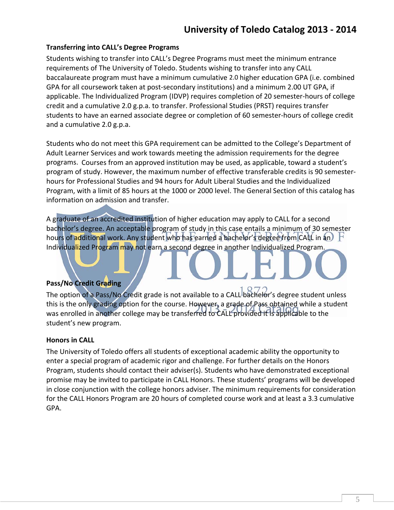#### **Transferring into CALL's Degree Programs**

Students wishing to transfer into CALL's Degree Programs must meet the minimum entrance requirements of The University of Toledo. Students wishing to transfer into any CALL baccalaureate program must have a minimum cumulative 2.0 higher education GPA (i.e. combined GPA for all coursework taken at post‐secondary institutions) and a minimum 2.00 UT GPA, if applicable. The Individualized Program (IDVP) requires completion of 20 semester‐hours of college credit and a cumulative 2.0 g.p.a. to transfer. Professional Studies (PRST) requires transfer students to have an earned associate degree or completion of 60 semester‐hours of college credit and a cumulative 2.0 g.p.a.

Students who do not meet this GPA requirement can be admitted to the College's Department of Adult Learner Services and work towards meeting the admission requirements for the degree programs. Courses from an approved institution may be used, as applicable, toward a student's program of study. However, the maximum number of effective transferable credits is 90 semester‐ hours for Professional Studies and 94 hours for Adult Liberal Studies and the Individualized Program, with a limit of 85 hours at the 1000 or 2000 level. The General Section of this catalog has information on admission and transfer.

A graduate of an accredited institution of higher education may apply to CALL for a second bachelor's degree. An acceptable program of study in this case entails a minimum of 30 semester hours of additional work. Any student who has earned a bachelor's degree from CALL in an Individualized Program may not earn a second degree in another Individualized Program.

#### **Pass/No Credit Grading**

The option of a Pass/No Credit grade is not available to a CALL bachelor's degree student unless this is the only grading option for the course. However, a grade of Pass obtained while a student was enrolled in another college may be transferred to CALL provided it is applicable to the student's new program.

#### **Honors in CALL**

The University of Toledo offers all students of exceptional academic ability the opportunity to enter a special program of academic rigor and challenge. For further details on the Honors Program, students should contact their adviser(s). Students who have demonstrated exceptional promise may be invited to participate in CALL Honors. These students' programs will be developed in close conjunction with the college honors adviser. The minimum requirements for consideration for the CALL Honors Program are 20 hours of completed course work and at least a 3.3 cumulative GPA.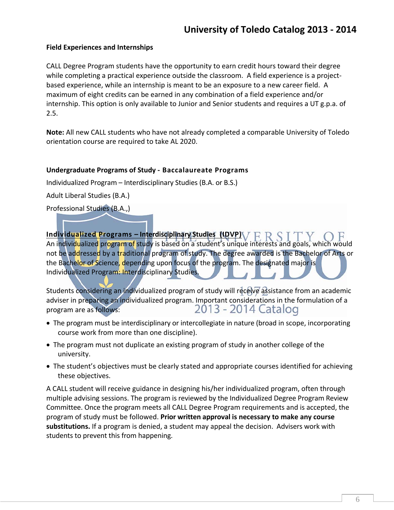#### **Field Experiences and Internships**

CALL Degree Program students have the opportunity to earn credit hours toward their degree while completing a practical experience outside the classroom. A field experience is a projectbased experience, while an internship is meant to be an exposure to a new career field. A maximum of eight credits can be earned in any combination of a field experience and/or internship. This option is only available to Junior and Senior students and requires a UT g.p.a. of 2.5.

**Note:** All new CALL students who have not already completed a comparable University of Toledo orientation course are required to take AL 2020.

#### **Undergraduate Programs of Study ‐ Baccalaureate Programs**

Individualized Program – Interdisciplinary Studies (B.A. or B.S.)

Adult Liberal Studies (B.A.)

Professional Studies (B.A.,)

**Individualized Programs – Interdisciplinary Studies (IDVP)** An individualized program of study is based on a student's unique interests and goals, which would not be addressed by a traditional program of study. The degree awarded is the Bachelor of Arts or the Bachelor of Science, depending upon focus of the program. The designated major is Individualized Program: Interdisciplinary Studies.

Students considering an individualized program of study will receive assistance from an academic adviser in preparing an individualized program. Important considerations in the formulation of a<br>2013 - 2014 Catalog program are as follows:

- The program must be interdisciplinary or intercollegiate in nature (broad in scope, incorporating course work from more than one discipline).
- The program must not duplicate an existing program of study in another college of the university.
- The student's objectives must be clearly stated and appropriate courses identified for achieving these objectives.

A CALL student will receive guidance in designing his/her individualized program, often through multiple advising sessions. The program is reviewed by the Individualized Degree Program Review Committee. Once the program meets all CALL Degree Program requirements and is accepted, the program of study must be followed. **Prior written approval is necessary to make any course substitutions.** If a program is denied, a student may appeal the decision. Advisers work with students to prevent this from happening.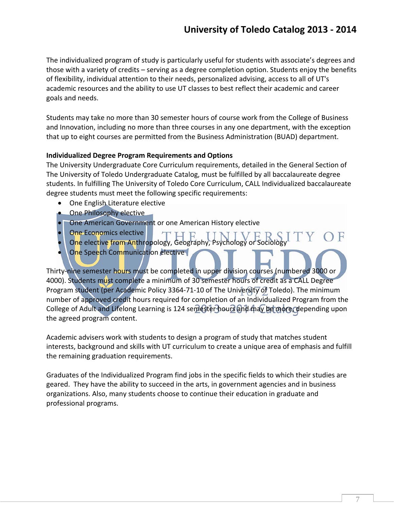The individualized program of study is particularly useful for students with associate's degrees and those with a variety of credits – serving as a degree completion option. Students enjoy the benefits of flexibility, individual attention to their needs, personalized advising, access to all of UT's academic resources and the ability to use UT classes to best reflect their academic and career goals and needs.

Students may take no more than 30 semester hours of course work from the College of Business and Innovation, including no more than three courses in any one department, with the exception that up to eight courses are permitted from the Business Administration (BUAD) department.

#### **Individualized Degree Program Requirements and Options**

The University Undergraduate Core Curriculum requirements, detailed in the General Section of The University of Toledo Undergraduate Catalog, must be fulfilled by all baccalaureate degree students. In fulfilling The University of Toledo Core Curriculum, CALL Individualized baccalaureate degree students must meet the following specific requirements:

- One English Literature elective
- One Philosophy elective
- One American Government or one American History elective
- One Economics elective
- One elective from Anthropology, Geography, Psychology or Sociology
- One Speech Communication elective

Thirty‐nine semester hours must be completed in upper division courses (numbered 3000 or 4000). Students must complete a minimum of 30 semester hours of credit as a CALL Degree Program student (per Academic Policy 3364-71-10 of The University of Toledo). The minimum number of approved credit hours required for completion of an Individualized Program from the College of Adult and Lifelong Learning is 124 semester hours and may be more, depending upon the agreed program content.

Academic advisers work with students to design a program of study that matches student interests, background and skills with UT curriculum to create a unique area of emphasis and fulfill the remaining graduation requirements.

Graduates of the Individualized Program find jobs in the specific fields to which their studies are geared. They have the ability to succeed in the arts, in government agencies and in business organizations. Also, many students choose to continue their education in graduate and professional programs.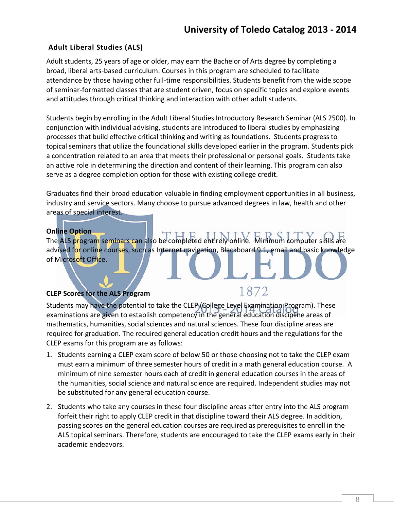#### **Adult Liberal Studies (ALS)**

Adult students, 25 years of age or older, may earn the Bachelor of Arts degree by completing a broad, liberal arts‐based curriculum. Courses in this program are scheduled to facilitate attendance by those having other full‐time responsibilities. Students benefit from the wide scope of seminar‐formatted classes that are student driven, focus on specific topics and explore events and attitudes through critical thinking and interaction with other adult students.

Students begin by enrolling in the Adult Liberal Studies Introductory Research Seminar (ALS 2500). In conjunction with individual advising, students are introduced to liberal studies by emphasizing processes that build effective critical thinking and writing as foundations. Students progress to topical seminars that utilize the foundational skills developed earlier in the program. Students pick a concentration related to an area that meets their professional or personal goals. Students take an active role in determining the direction and content of their learning. This program can also serve as a degree completion option for those with existing college credit.

Graduates find their broad education valuable in finding employment opportunities in all business, industry and service sectors. Many choose to pursue advanced degrees in law, health and other areas of special interest.

#### **Online Option**

The ALS program seminars can also be completed entirely online. advised for online courses, such as Internet navigation, Blackboard 9.1, email and basic knowledge of Microsoft Office.

1872

#### **CLEP Scores for the ALS Program**

Students may have the potential to take the CLEP (College Level Examination Program). These examinations are given to establish competency in the general education discipline areas of mathematics, humanities, social sciences and natural sciences. These four discipline areas are required for graduation. The required general education credit hours and the regulations for the CLEP exams for this program are as follows:

- 1. Students earning a CLEP exam score of below 50 or those choosing not to take the CLEP exam must earn a minimum of three semester hours of credit in a math general education course. A minimum of nine semester hours each of credit in general education courses in the areas of the humanities, social science and natural science are required. Independent studies may not be substituted for any general education course.
- 2. Students who take any courses in these four discipline areas after entry into the ALS program forfeit their right to apply CLEP credit in that discipline toward their ALS degree. In addition, passing scores on the general education courses are required as prerequisites to enroll in the ALS topical seminars. Therefore, students are encouraged to take the CLEP exams early in their academic endeavors.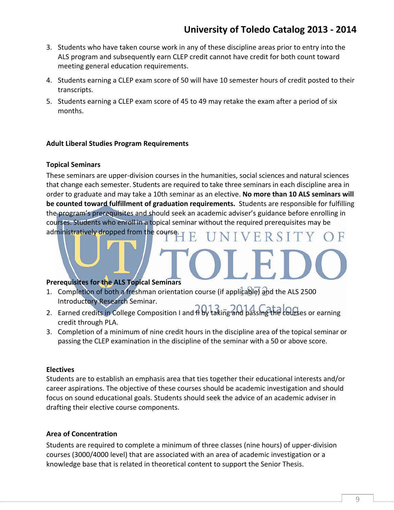- 3. Students who have taken course work in any of these discipline areas prior to entry into the ALS program and subsequently earn CLEP credit cannot have credit for both count toward meeting general education requirements.
- 4. Students earning a CLEP exam score of 50 will have 10 semester hours of credit posted to their transcripts.
- 5. Students earning a CLEP exam score of 45 to 49 may retake the exam after a period of six months.

#### **Adult Liberal Studies Program Requirements**

#### **Topical Seminars**

These seminars are upper‐division courses in the humanities, social sciences and natural sciences that change each semester. Students are required to take three seminars in each discipline area in order to graduate and may take a 10th seminar as an elective. **No more than 10 ALS seminars will be counted toward fulfillment of graduation requirements.** Students are responsible for fulfilling the program's prerequisites and should seek an academic adviser's guidance before enrolling in courses. Students who enroll in a topical seminar without the required prerequisites may be administratively dropped from the course. ERSI

#### **Prerequisites for the ALS Topical Seminars**

- 1. Completion of both a freshman orientation course (if applicable) and the ALS 2500 Introductory Research Seminar.
- 2. Earned credits in College Composition I and II by taking and passing the courses or earning credit through PLA.
- 3. Completion of a minimum of nine credit hours in the discipline area of the topical seminar or passing the CLEP examination in the discipline of the seminar with a 50 or above score.

#### **Electives**

Students are to establish an emphasis area that ties together their educational interests and/or career aspirations. The objective of these courses should be academic investigation and should focus on sound educational goals. Students should seek the advice of an academic adviser in drafting their elective course components.

#### **Area of Concentration**

Students are required to complete a minimum of three classes (nine hours) of upper‐division courses (3000/4000 level) that are associated with an area of academic investigation or a knowledge base that is related in theoretical content to support the Senior Thesis.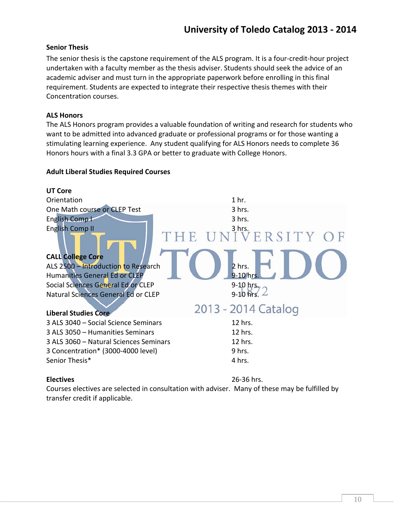#### **Senior Thesis**

The senior thesis is the capstone requirement of the ALS program. It is a four‐credit‐hour project undertaken with a faculty member as the thesis adviser. Students should seek the advice of an academic adviser and must turn in the appropriate paperwork before enrolling in this final requirement. Students are expected to integrate their respective thesis themes with their Concentration courses.

#### **ALS Honors**

The ALS Honors program provides a valuable foundation of writing and research for students who want to be admitted into advanced graduate or professional programs or for those wanting a stimulating learning experience. Any student qualifying for ALS Honors needs to complete 36 Honors hours with a final 3.3 GPA or better to graduate with College Honors.

#### **Adult Liberal Studies Required Courses**



Courses electives are selected in consultation with adviser. Many of these may be fulfilled by transfer credit if applicable.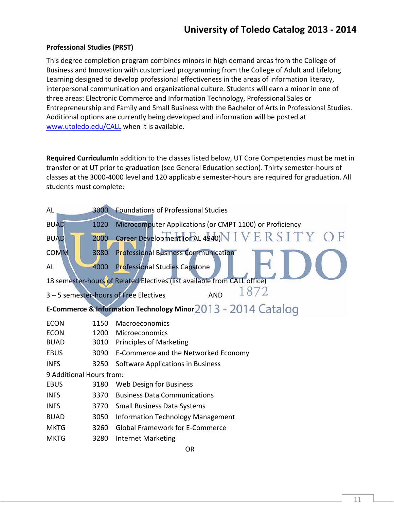#### **Professional Studies (PRST)**

This degree completion program combines minors in high demand areas from the College of Business and Innovation with customized programming from the College of Adult and Lifelong Learning designed to develop professional effectiveness in the areas of information literacy, interpersonal communication and organizational culture. Students will earn a minor in one of three areas: Electronic Commerce and Information Technology, Professional Sales or Entrepreneurship and Family and Small Business with the Bachelor of Arts in Professional Studies. Additional options are currently being developed and information will be posted at www.utoledo.edu/CALL when it is available.

**Required Curriculum**In addition to the classes listed below, UT Core Competencies must be met in transfer or at UT prior to graduation (see General Education section). Thirty semester‐hours of classes at the 3000‐4000 level and 120 applicable semester‐hours are required for graduation. All students must complete:

| AL                                                            | 3000 | <b>Foundations of Professional Studies</b>                               |  |  |
|---------------------------------------------------------------|------|--------------------------------------------------------------------------|--|--|
| <b>BUAD</b>                                                   | 1020 | Microcomputer Applications (or CMPT 1100) or Proficiency                 |  |  |
| <b>BUAD</b>                                                   | 2000 | Career Development (or AL 4940) $N$ $I$ $V$ $E$ $R$ $S$ $I$ $T$ $Y$      |  |  |
| <b>COMM</b>                                                   | 3880 | <b>Professional Business Communication</b>                               |  |  |
| AL                                                            | 4000 | Professional Studies Capstone                                            |  |  |
|                                                               |      | 18 semester-hours of Related Electives (list available from CALL office) |  |  |
|                                                               |      | 1872<br>3 - 5 semester-hours of Free Electives<br><b>AND</b>             |  |  |
| E-Commerce & Information Technology Minor 2013 - 2014 Catalog |      |                                                                          |  |  |
| <b>ECON</b>                                                   | 1150 | Macroeconomics                                                           |  |  |
| <b>ECON</b>                                                   | 1200 | Microeconomics                                                           |  |  |
| <b>BUAD</b>                                                   | 3010 | <b>Principles of Marketing</b>                                           |  |  |
| <b>EBUS</b>                                                   | 3090 | E-Commerce and the Networked Economy                                     |  |  |
| <b>INFS</b>                                                   | 3250 | Software Applications in Business                                        |  |  |
| 9 Additional Hours from:                                      |      |                                                                          |  |  |
| <b>EBUS</b>                                                   | 3180 | Web Design for Business                                                  |  |  |
| <b>INFS</b>                                                   | 3370 | <b>Business Data Communications</b>                                      |  |  |
| <b>INFS</b>                                                   | 3770 | <b>Small Business Data Systems</b>                                       |  |  |
| <b>BUAD</b>                                                   | 3050 | <b>Information Technology Management</b>                                 |  |  |
| <b>MKTG</b>                                                   | 3260 | <b>Global Framework for E-Commerce</b>                                   |  |  |
| <b>MKTG</b>                                                   | 3280 | <b>Internet Marketing</b>                                                |  |  |
|                                                               |      |                                                                          |  |  |